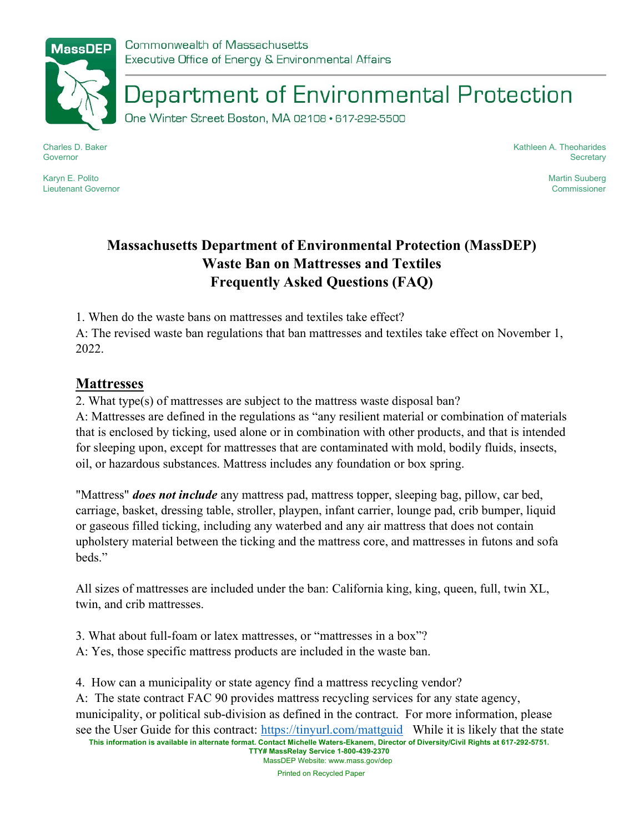

Department of Environmental Protection

One Winter Street Boston, MA 02108 · 617-292-5500

Charles D. Baker Governor

Karyn E. Polito Lieutenant Governor Kathleen A. Theoharides **Secretary** 

> Martin Suuberg Commissioner

## Massachusetts Department of Environmental Protection (MassDEP) Waste Ban on Mattresses and Textiles Frequently Asked Questions (FAQ)

1. When do the waste bans on mattresses and textiles take effect?

A: The revised waste ban regulations that ban mattresses and textiles take effect on November 1, 2022.

## **Mattresses**

2. What type(s) of mattresses are subject to the mattress waste disposal ban?

A: Mattresses are defined in the regulations as "any resilient material or combination of materials that is enclosed by ticking, used alone or in combination with other products, and that is intended for sleeping upon, except for mattresses that are contaminated with mold, bodily fluids, insects, oil, or hazardous substances. Mattress includes any foundation or box spring.

"Mattress" *does not include* any mattress pad, mattress topper, sleeping bag, pillow, car bed, carriage, basket, dressing table, stroller, playpen, infant carrier, lounge pad, crib bumper, liquid or gaseous filled ticking, including any waterbed and any air mattress that does not contain upholstery material between the ticking and the mattress core, and mattresses in futons and sofa beds."

All sizes of mattresses are included under the ban: California king, king, queen, full, twin XL, twin, and crib mattresses.

3. What about full-foam or latex mattresses, or "mattresses in a box"? A: Yes, those specific mattress products are included in the waste ban.

4. How can a municipality or state agency find a mattress recycling vendor?

This information is available in alternate format. Contact Michelle Waters-Ekanem, Director of Diversity/Civil Rights at 617-292-5751. A: The state contract FAC 90 provides mattress recycling services for any state agency, municipality, or political sub-division as defined in the contract. For more information, please see the User Guide for this contract: https://tinyurl.com/mattguid While it is likely that the state

TTY# MassRelay Service 1-800-439-2370 MassDEP Website: www.mass.gov/dep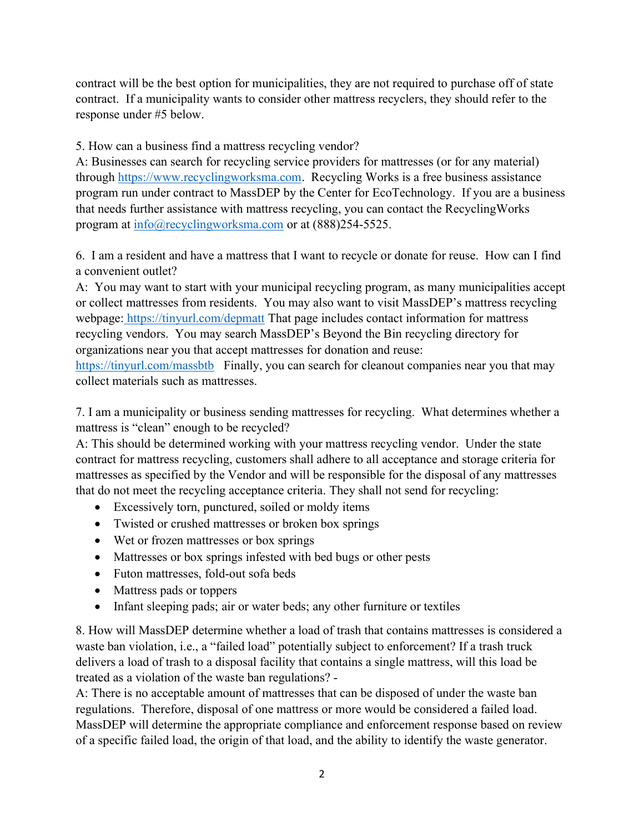contract will be the best option for municipalities, they are not required to purchase off of state contract. If a municipality wants to consider other mattress recyclers, they should refer to the response under #5 below.

## 5. How can a business find a mattress recycling vendor?

A: Businesses can search for recycling service providers for mattresses (or for any material) through https://www.recyclingworksma.com. Recycling Works is a free business assistance program run under contract to MassDEP by the Center for EcoTechnology. If you are a business that needs further assistance with mattress recycling, you can contact the RecyclingWorks program at  $\frac{info(@recyclingworksma.com)}{info(@recyclingworksma.com)}$  or at (888)254-5525.

6. I am a resident and have a mattress that I want to recycle or donate for reuse. How can I find a convenient outlet?

A: You may want to start with your municipal recycling program, as many municipalities accept or collect mattresses from residents. You may also want to visit MassDEP's mattress recycling webpage: https://tinyurl.com/depmatt That page includes contact information for mattress recycling vendors. You may search MassDEP's Beyond the Bin recycling directory for organizations near you that accept mattresses for donation and reuse:

https://tinyurl.com/massbtb Finally, you can search for cleanout companies near you that may collect materials such as mattresses.

7. I am a municipality or business sending mattresses for recycling. What determines whether a mattress is "clean" enough to be recycled?

A: This should be determined working with your mattress recycling vendor. Under the state contract for mattress recycling, customers shall adhere to all acceptance and storage criteria for mattresses as specified by the Vendor and will be responsible for the disposal of any mattresses that do not meet the recycling acceptance criteria. They shall not send for recycling:

- Excessively torn, punctured, soiled or moldy items
- Twisted or crushed mattresses or broken box springs
- Wet or frozen mattresses or box springs
- Mattresses or box springs infested with bed bugs or other pests
- Futon mattresses, fold-out sofa beds
- Mattress pads or toppers
- Infant sleeping pads; air or water beds; any other furniture or textiles

8. How will MassDEP determine whether a load of trash that contains mattresses is considered a waste ban violation, i.e., a "failed load" potentially subject to enforcement? If a trash truck delivers a load of trash to a disposal facility that contains a single mattress, will this load be treated as a violation of the waste ban regulations? -

A: There is no acceptable amount of mattresses that can be disposed of under the waste ban regulations. Therefore, disposal of one mattress or more would be considered a failed load. MassDEP will determine the appropriate compliance and enforcement response based on review of a specific failed load, the origin of that load, and the ability to identify the waste generator.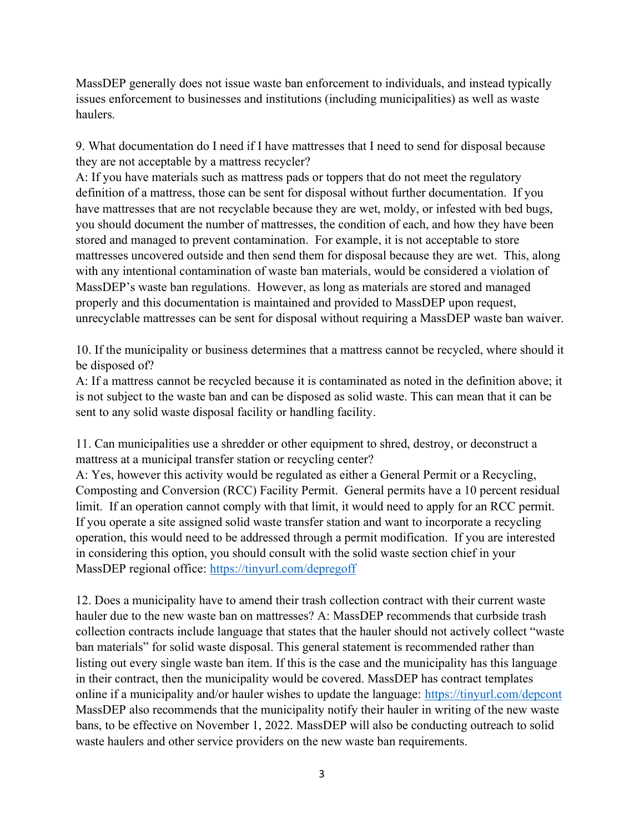MassDEP generally does not issue waste ban enforcement to individuals, and instead typically issues enforcement to businesses and institutions (including municipalities) as well as waste haulers.

9. What documentation do I need if I have mattresses that I need to send for disposal because they are not acceptable by a mattress recycler?

A: If you have materials such as mattress pads or toppers that do not meet the regulatory definition of a mattress, those can be sent for disposal without further documentation. If you have mattresses that are not recyclable because they are wet, moldy, or infested with bed bugs, you should document the number of mattresses, the condition of each, and how they have been stored and managed to prevent contamination. For example, it is not acceptable to store mattresses uncovered outside and then send them for disposal because they are wet. This, along with any intentional contamination of waste ban materials, would be considered a violation of MassDEP's waste ban regulations. However, as long as materials are stored and managed properly and this documentation is maintained and provided to MassDEP upon request, unrecyclable mattresses can be sent for disposal without requiring a MassDEP waste ban waiver.

10. If the municipality or business determines that a mattress cannot be recycled, where should it be disposed of?

A: If a mattress cannot be recycled because it is contaminated as noted in the definition above; it is not subject to the waste ban and can be disposed as solid waste. This can mean that it can be sent to any solid waste disposal facility or handling facility.

11. Can municipalities use a shredder or other equipment to shred, destroy, or deconstruct a mattress at a municipal transfer station or recycling center?

A: Yes, however this activity would be regulated as either a General Permit or a Recycling, Composting and Conversion (RCC) Facility Permit. General permits have a 10 percent residual limit. If an operation cannot comply with that limit, it would need to apply for an RCC permit. If you operate a site assigned solid waste transfer station and want to incorporate a recycling operation, this would need to be addressed through a permit modification. If you are interested in considering this option, you should consult with the solid waste section chief in your MassDEP regional office: https://tinyurl.com/depregoff

12. Does a municipality have to amend their trash collection contract with their current waste hauler due to the new waste ban on mattresses? A: MassDEP recommends that curbside trash collection contracts include language that states that the hauler should not actively collect "waste ban materials" for solid waste disposal. This general statement is recommended rather than listing out every single waste ban item. If this is the case and the municipality has this language in their contract, then the municipality would be covered. MassDEP has contract templates online if a municipality and/or hauler wishes to update the language: https://tinyurl.com/depcont MassDEP also recommends that the municipality notify their hauler in writing of the new waste bans, to be effective on November 1, 2022. MassDEP will also be conducting outreach to solid waste haulers and other service providers on the new waste ban requirements.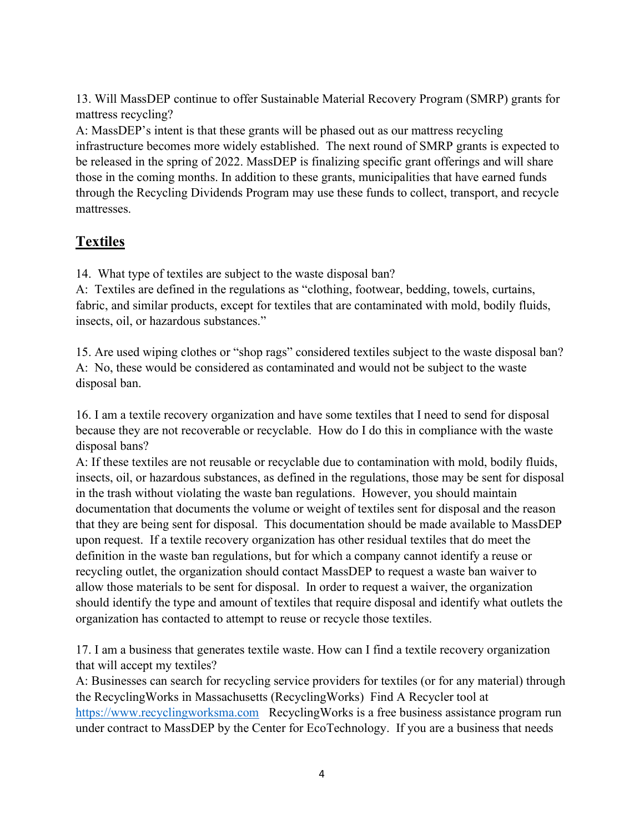13. Will MassDEP continue to offer Sustainable Material Recovery Program (SMRP) grants for mattress recycling?

A: MassDEP's intent is that these grants will be phased out as our mattress recycling infrastructure becomes more widely established. The next round of SMRP grants is expected to be released in the spring of 2022. MassDEP is finalizing specific grant offerings and will share those in the coming months. In addition to these grants, municipalities that have earned funds through the Recycling Dividends Program may use these funds to collect, transport, and recycle mattresses.

## Textiles

14. What type of textiles are subject to the waste disposal ban?

A: Textiles are defined in the regulations as "clothing, footwear, bedding, towels, curtains, fabric, and similar products, except for textiles that are contaminated with mold, bodily fluids, insects, oil, or hazardous substances."

15. Are used wiping clothes or "shop rags" considered textiles subject to the waste disposal ban? A: No, these would be considered as contaminated and would not be subject to the waste disposal ban.

16. I am a textile recovery organization and have some textiles that I need to send for disposal because they are not recoverable or recyclable. How do I do this in compliance with the waste disposal bans?

A: If these textiles are not reusable or recyclable due to contamination with mold, bodily fluids, insects, oil, or hazardous substances, as defined in the regulations, those may be sent for disposal in the trash without violating the waste ban regulations. However, you should maintain documentation that documents the volume or weight of textiles sent for disposal and the reason that they are being sent for disposal. This documentation should be made available to MassDEP upon request. If a textile recovery organization has other residual textiles that do meet the definition in the waste ban regulations, but for which a company cannot identify a reuse or recycling outlet, the organization should contact MassDEP to request a waste ban waiver to allow those materials to be sent for disposal. In order to request a waiver, the organization should identify the type and amount of textiles that require disposal and identify what outlets the organization has contacted to attempt to reuse or recycle those textiles.

17. I am a business that generates textile waste. How can I find a textile recovery organization that will accept my textiles?

A: Businesses can search for recycling service providers for textiles (or for any material) through the RecyclingWorks in Massachusetts (RecyclingWorks) Find A Recycler tool at https://www.recyclingworksma.com RecyclingWorks is a free business assistance program run under contract to MassDEP by the Center for EcoTechnology. If you are a business that needs